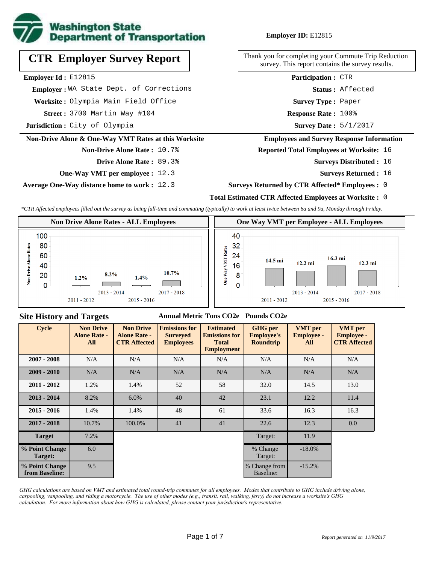

# **CTR Employer Survey Report**

**Employer Id :** E12815

 **Employer :** WA State Dept. of Corrections

**Worksite :** Olympia Main Field Office

3700 Martin Way #104 **Response Rate : Street :**

**Jurisdiction :** City of Olympia

### **Non-Drive Alone & One-Way VMT Rates at this Worksite**

# **Non-Drive Alone Rate :** 10.7%

**Drive Alone Rate :** 89.3%

**One-Way VMT per employee :** 12.3

**Average One-Way distance home to work :** 12.3

# **Employer ID:** E12815

Thank you for completing your Commute Trip Reduction survey. This report contains the survey results.

> **Status :** Affected **Participation :** CTR

**Survey Type :** Paper

Response Rate: 100%

Survey Date: 5/1/2017

### **Employees and Survey Response Information**

**Reported Total Employees at Worksite:** 16

- Surveys Distributed : 16
	- **Surveys Returned :** 16

### **Surveys Returned by CTR Affected\* Employees :** 0

### **Total Estimated CTR Affected Employees at Worksite :** 0

*\*CTR Affected employees filled out the survey as being full-time and commuting (typically) to work at least twice between 6a and 9a, Monday through Friday.*



# **Site History and Targets**

### **Annual Metric Tons CO2e Pounds CO2e**

| <b>Cycle</b>                     | <b>Non Drive</b><br><b>Alone Rate -</b><br>All | <b>Non Drive</b><br><b>Alone Rate -</b><br><b>CTR Affected</b> | <b>Emissions for</b><br><b>Surveyed</b><br><b>Employees</b> | <b>Estimated</b><br><b>Emissions for</b><br><b>Total</b><br><b>Employment</b> | <b>GHG</b> per<br><b>Employee's</b><br><b>Roundtrip</b> | <b>VMT</b> per<br><b>Employee -</b><br>All | <b>VMT</b> per<br><b>Employee -</b><br><b>CTR Affected</b> |
|----------------------------------|------------------------------------------------|----------------------------------------------------------------|-------------------------------------------------------------|-------------------------------------------------------------------------------|---------------------------------------------------------|--------------------------------------------|------------------------------------------------------------|
| $2007 - 2008$                    | N/A                                            | N/A                                                            | N/A                                                         | N/A                                                                           | N/A                                                     | N/A                                        | N/A                                                        |
| $2009 - 2010$                    | N/A                                            | N/A                                                            | N/A                                                         | N/A                                                                           | N/A                                                     | N/A                                        | N/A                                                        |
| $2011 - 2012$                    | 1.2%                                           | 1.4%                                                           | 52                                                          | 58                                                                            | 32.0                                                    | 14.5                                       | 13.0                                                       |
| $2013 - 2014$                    | 8.2%                                           | 6.0%                                                           | 40                                                          | 42                                                                            | 23.1                                                    | 12.2                                       | 11.4                                                       |
| $2015 - 2016$                    | 1.4%                                           | 1.4%                                                           | 48                                                          | 61                                                                            | 33.6                                                    | 16.3                                       | 16.3                                                       |
| $2017 - 2018$                    | 10.7%                                          | 100.0%                                                         | 41                                                          | 41                                                                            | 22.6                                                    | 12.3                                       | 0.0                                                        |
| <b>Target</b>                    | 7.2%                                           |                                                                |                                                             |                                                                               | Target:                                                 | 11.9                                       |                                                            |
| % Point Change<br>Target:        | 6.0                                            |                                                                |                                                             |                                                                               | % Change<br>Target:                                     | $-18.0\%$                                  |                                                            |
| % Point Change<br>from Baseline: | 9.5                                            |                                                                |                                                             |                                                                               | % Change from<br>Baseline:                              | $-15.2%$                                   |                                                            |

*GHG calculations are based on VMT and estimated total round-trip commutes for all employees. Modes that contribute to GHG include driving alone, carpooling, vanpooling, and riding a motorcycle. The use of other modes (e.g., transit, rail, walking, ferry) do not increase a worksite's GHG calculation. For more information about how GHG is calculated, please contact your jurisdiction's representative.*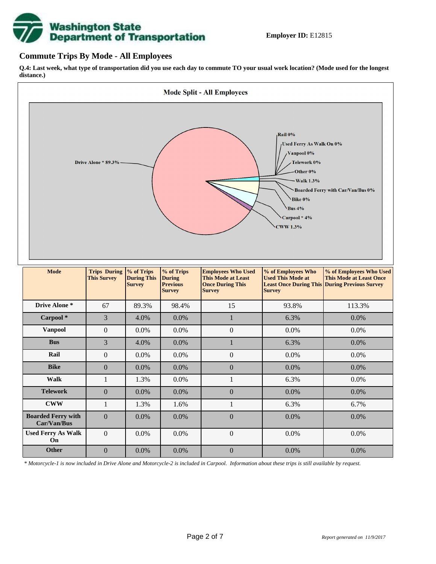# **Washington State<br>Department of Transportation**

# **Commute Trips By Mode - All Employees**

**Q.4: Last week, what type of transportation did you use each day to commute TO your usual work location? (Mode used for the longest distance.)**



*\* Motorcycle-1 is now included in Drive Alone and Motorcycle-2 is included in Carpool. Information about these trips is still available by request.*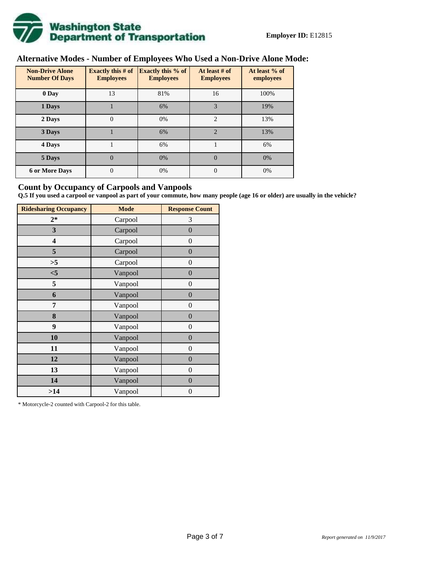

# **Alternative Modes - Number of Employees Who Used a Non-Drive Alone Mode:**

| <b>Non-Drive Alone</b><br><b>Number Of Days</b> | <b>Exactly this # of</b><br><b>Employees</b> | <b>Exactly this % of</b><br><b>Employees</b> | At least # of<br><b>Employees</b> | At least % of<br>employees |
|-------------------------------------------------|----------------------------------------------|----------------------------------------------|-----------------------------------|----------------------------|
| 0 Day                                           | 13                                           | 81%                                          | 16                                | 100%                       |
| 1 Days                                          |                                              | 6%                                           | 3                                 | 19%                        |
| 2 Days                                          | $\overline{0}$                               | 0%                                           | $\overline{c}$                    | 13%                        |
| 3 Days                                          |                                              | 6%                                           | $\overline{2}$                    | 13%                        |
| 4 Days                                          |                                              | 6%                                           |                                   | 6%                         |
| 5 Days                                          | $\theta$                                     | 0%                                           | $\Omega$                          | 0%                         |
| <b>6 or More Days</b>                           | $\overline{0}$                               | 0%                                           | $\overline{0}$                    | 0%                         |

# **Count by Occupancy of Carpools and Vanpools**

**Q.5 If you used a carpool or vanpool as part of your commute, how many people (age 16 or older) are usually in the vehicle?**

| <b>Ridesharing Occupancy</b> | <b>Mode</b> | <b>Response Count</b> |
|------------------------------|-------------|-----------------------|
| $2*$                         | Carpool     | 3                     |
| 3                            | Carpool     | $\boldsymbol{0}$      |
| 4                            | Carpool     | $\overline{0}$        |
| 5                            | Carpool     | $\overline{0}$        |
| >5                           | Carpool     | $\theta$              |
| $<$ 5                        | Vanpool     | $\overline{0}$        |
| 5                            | Vanpool     | $\boldsymbol{0}$      |
| 6                            | Vanpool     | $\boldsymbol{0}$      |
| 7                            | Vanpool     | $\boldsymbol{0}$      |
| 8                            | Vanpool     | $\boldsymbol{0}$      |
| 9                            | Vanpool     | $\overline{0}$        |
| 10                           | Vanpool     | $\overline{0}$        |
| 11                           | Vanpool     | $\overline{0}$        |
| 12                           | Vanpool     | $\boldsymbol{0}$      |
| 13                           | Vanpool     | $\overline{0}$        |
| 14                           | Vanpool     | $\overline{0}$        |
| >14                          | Vanpool     | 0                     |

\* Motorcycle-2 counted with Carpool-2 for this table.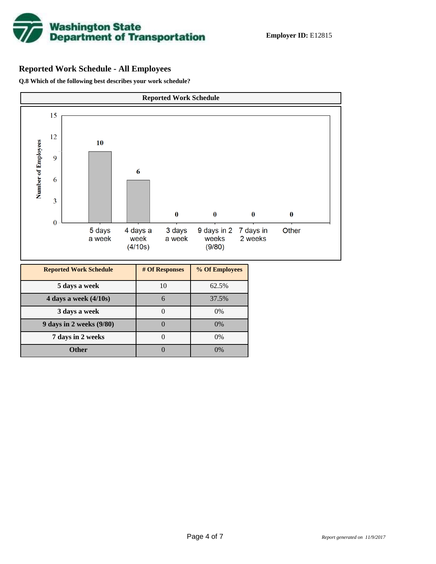

# **Reported Work Schedule - All Employees**

**Q.8 Which of the following best describes your work schedule?**

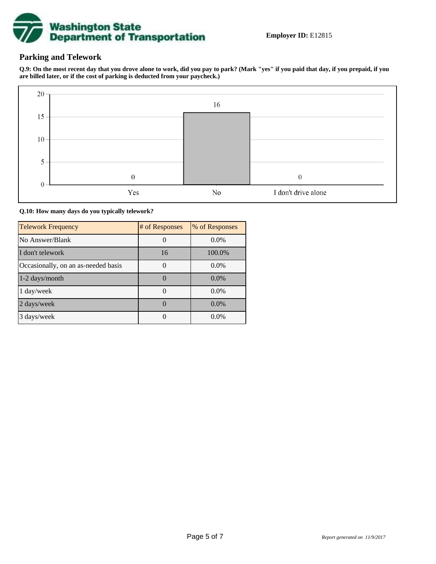

# **Parking and Telework**

**Q.9: On the most recent day that you drove alone to work, did you pay to park? (Mark "yes" if you paid that day, if you prepaid, if you are billed later, or if the cost of parking is deducted from your paycheck.)**



**Q.10: How many days do you typically telework?**

| <b>Telework Frequency</b>           | # of Responses | % of Responses |
|-------------------------------------|----------------|----------------|
| No Answer/Blank                     |                | $0.0\%$        |
| I don't telework                    | 16             | 100.0%         |
| Occasionally, on an as-needed basis |                | $0.0\%$        |
| 1-2 days/month                      |                | $0.0\%$        |
| 1 day/week                          |                | $0.0\%$        |
| 2 days/week                         |                | $0.0\%$        |
| 3 days/week                         |                | $0.0\%$        |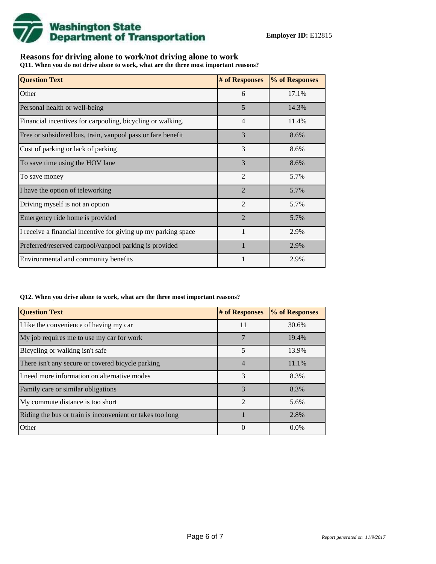

# **Reasons for driving alone to work/not driving alone to work**

**Q11. When you do not drive alone to work, what are the three most important reasons?**

| <b>Question Text</b>                                           | # of Responses | % of Responses |
|----------------------------------------------------------------|----------------|----------------|
| Other                                                          | 6              | 17.1%          |
| Personal health or well-being                                  | 5              | 14.3%          |
| Financial incentives for carpooling, bicycling or walking.     | $\overline{4}$ | 11.4%          |
| Free or subsidized bus, train, vanpool pass or fare benefit    | 3              | 8.6%           |
| Cost of parking or lack of parking                             | 3              | 8.6%           |
| To save time using the HOV lane                                | 3              | 8.6%           |
| To save money                                                  | $\overline{2}$ | 5.7%           |
| I have the option of teleworking                               | $\overline{2}$ | 5.7%           |
| Driving myself is not an option                                | $\overline{2}$ | 5.7%           |
| Emergency ride home is provided                                | $\overline{2}$ | 5.7%           |
| I receive a financial incentive for giving up my parking space |                | 2.9%           |
| Preferred/reserved carpool/vanpool parking is provided         | $\mathbf{1}$   | 2.9%           |
| Environmental and community benefits                           |                | 2.9%           |

### **Q12. When you drive alone to work, what are the three most important reasons?**

| <b>Question Text</b>                                      | # of Responses | % of Responses |
|-----------------------------------------------------------|----------------|----------------|
| I like the convenience of having my car                   | 11             | 30.6%          |
| My job requires me to use my car for work                 |                | 19.4%          |
| Bicycling or walking isn't safe                           | 5              | 13.9%          |
| There isn't any secure or covered bicycle parking         | $\overline{4}$ | 11.1%          |
| I need more information on alternative modes              | 3              | 8.3%           |
| Family care or similar obligations                        | 3              | 8.3%           |
| My commute distance is too short                          | $\mathfrak{D}$ | 5.6%           |
| Riding the bus or train is inconvenient or takes too long |                | 2.8%           |
| Other                                                     | $\theta$       | $0.0\%$        |